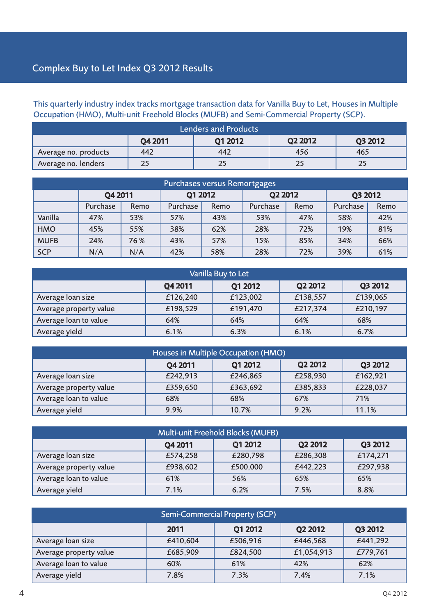# Complex Buy to Let Index Q3 2012 Results

This quarterly industry index tracks mortgage transaction data for Vanilla Buy to Let, Houses in Multiple Occupation (HMO), Multi-unit Freehold Blocks (MUFB) and Semi-Commercial Property (SCP).

| <b>Lenders and Products</b>                     |     |     |     |     |  |  |  |
|-------------------------------------------------|-----|-----|-----|-----|--|--|--|
| Q2 2012<br><b>Q1 2012</b><br>Q3 2012<br>Q4 2011 |     |     |     |     |  |  |  |
| Average no. products                            | 442 | 442 | 456 | 465 |  |  |  |
| Average no. lenders                             | 25  |     |     |     |  |  |  |

| Purchases versus Remortgages |          |      |          |      |          |      |          |      |
|------------------------------|----------|------|----------|------|----------|------|----------|------|
|                              | Q4 2011  |      | Q1 2012  |      | Q2 2012  |      | Q3 2012  |      |
|                              | Purchase | Remo | Purchase | Remo | Purchase | Remo | Purchase | Remo |
| Vanilla                      | 47%      | 53%  | 57%      | 43%  | 53%      | 47%  | 58%      | 42%  |
| <b>HMO</b>                   | 45%      | 55%  | 38%      | 62%  | 28%      | 72%  | 19%      | 81%  |
| <b>MUFB</b>                  | 24%      | 76 % | 43%      | 57%  | 15%      | 85%  | 34%      | 66%  |
| <b>SCP</b>                   | N/A      | N/A  | 42%      | 58%  | 28%      | 72%  | 39%      | 61%  |

| Vanilla Buy to Let     |          |          |          |          |  |  |
|------------------------|----------|----------|----------|----------|--|--|
|                        | Q4 2011  | Q1 2012  | Q2 2012  | Q3 2012  |  |  |
| Average loan size      | £126,240 | £123,002 | £138,557 | £139,065 |  |  |
| Average property value | £198,529 | £191,470 | £217,374 | £210,197 |  |  |
| Average loan to value  | 64%      | 64%      | 64%      | 68%      |  |  |
| Average yield          | 6.1%     | 6.3%     | 6.1%     | 6.7%     |  |  |

| Houses in Multiple Occupation (HMO) |          |          |          |          |  |
|-------------------------------------|----------|----------|----------|----------|--|
|                                     | Q4 2011  | Q1 2012  | Q2 2012  | Q3 2012  |  |
| Average loan size                   | £242,913 | £246,865 | £258,930 | £162,921 |  |
| Average property value              | £359,650 | £363,692 | £385,833 | £228,037 |  |
| Average loan to value               | 68%      | 68%      | 67%      | 71%      |  |
| Average yield                       | 9.9%     | 10.7%    | 9.2%     | 11.1%    |  |

| Multi-unit Freehold Blocks (MUFB)        |          |          |          |          |  |  |  |
|------------------------------------------|----------|----------|----------|----------|--|--|--|
| Q2 2012<br>Q3 2012<br>Q1 2012<br>Q4 2011 |          |          |          |          |  |  |  |
| Average loan size                        | £574,258 | £280,798 | £286,308 | £174,271 |  |  |  |
| Average property value                   | £938,602 | £500,000 | £442,223 | £297,938 |  |  |  |
| Average loan to value                    | 61%      | 56%      | 65%      | 65%      |  |  |  |
| Average yield                            | 7.1%     | 6.2%     | 7.5%     | 8.8%     |  |  |  |

| Semi-Commercial Property (SCP) |                                       |          |            |          |  |  |  |
|--------------------------------|---------------------------------------|----------|------------|----------|--|--|--|
|                                | Q2 2012<br>Q3 2012<br>Q1 2012<br>2011 |          |            |          |  |  |  |
| Average loan size              | £410,604                              | £506,916 | £446,568   | £441,292 |  |  |  |
| Average property value         | £685,909                              | £824,500 | £1,054,913 | £779,761 |  |  |  |
| Average loan to value          | 60%                                   | 61%      | 42%        | 62%      |  |  |  |
| Average yield                  | 7.8%                                  | 7.3%     | 7.4%       | 7.1%     |  |  |  |